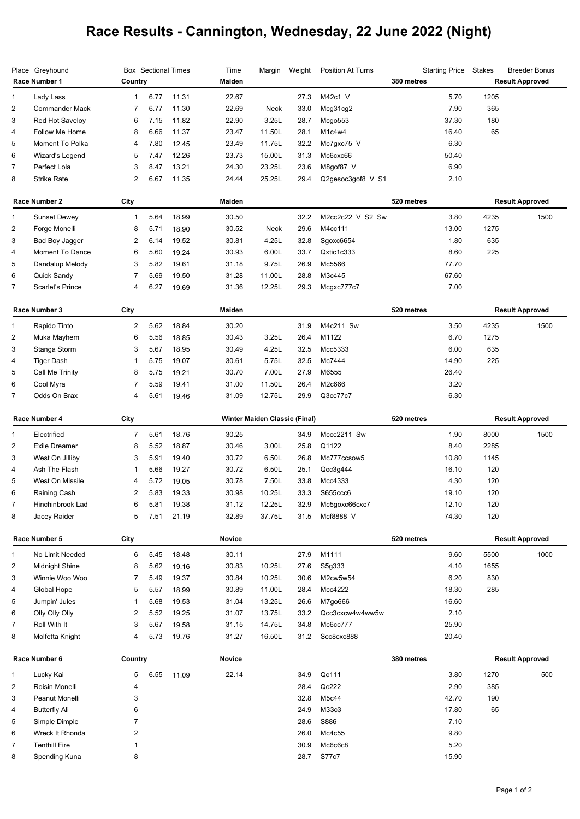## **Race Results - Cannington, Wednesday, 22 June 2022 (Night)**

|                | Place Greyhound<br>Race Number 1 |                         | <b>Box</b> Sectional Times<br>Country |       |                                      | <u>Marqin</u> | Weight | <b>Position At Turns</b> | <b>Starting Price</b><br>380 metres | <b>Stakes</b>          | <b>Breeder Bonus</b><br><b>Result Approved</b> |
|----------------|----------------------------------|-------------------------|---------------------------------------|-------|--------------------------------------|---------------|--------|--------------------------|-------------------------------------|------------------------|------------------------------------------------|
| 1              | Lady Lass                        | 1                       | 6.77                                  | 11.31 | 22.67                                |               | 27.3   | M42c1 V                  | 5.70                                | 1205                   |                                                |
| 2              | <b>Commander Mack</b>            | 7                       | 6.77                                  | 11.30 | 22.69                                | <b>Neck</b>   | 33.0   | Mcg31cg2                 | 7.90                                | 365                    |                                                |
| 3              | Red Hot Saveloy                  | 6                       | 7.15                                  | 11.82 | 22.90                                | 3.25L         | 28.7   | Mcgo553                  | 37.30                               | 180                    |                                                |
| 4              | Follow Me Home                   | 8                       | 6.66                                  | 11.37 | 23.47                                | 11.50L        | 28.1   | M1c4w4                   | 16.40                               | 65                     |                                                |
| 5              | Moment To Polka                  | 4                       | 7.80                                  | 12.45 | 23.49                                | 11.75L        | 32.2   | Mc7gxc75 V               | 6.30                                |                        |                                                |
| 6              | Wizard's Legend                  | 5                       | 7.47                                  | 12.26 | 23.73                                | 15.00L        | 31.3   | Mc6cxc66                 | 50.40                               |                        |                                                |
| 7              | Perfect Lola                     | 3                       | 8.47                                  | 13.21 | 24.30                                | 23.25L        | 23.6   | M8qof87 V                | 6.90                                |                        |                                                |
| 8              | <b>Strike Rate</b>               | 2                       | 6.67                                  | 11.35 | 24.44                                | 25.25L        | 29.4   | Q2gesoc3gof8 V S1        | 2.10                                |                        |                                                |
|                | Race Number 2                    |                         | City                                  |       | <b>Maiden</b>                        |               |        |                          | 520 metres                          | <b>Result Approved</b> |                                                |
| $\mathbf{1}$   | <b>Sunset Dewey</b>              | $\mathbf{1}$            | 5.64                                  | 18.99 | 30.50                                |               | 32.2   | M2cc2c22 V S2 Sw         | 3.80                                | 4235                   | 1500                                           |
| 2              | Forge Monelli                    | 8                       | 5.71                                  | 18.90 | 30.52                                | <b>Neck</b>   | 29.6   | M4cc111                  | 13.00                               | 1275                   |                                                |
| 3              | Bad Boy Jagger                   | $\overline{\mathbf{c}}$ | 6.14                                  | 19.52 | 30.81                                | 4.25L         | 32.8   | Sgoxc6654                | 1.80                                | 635                    |                                                |
| 4              | Moment To Dance                  | 6                       | 5.60                                  | 19.24 | 30.93                                | 6.00L         | 33.7   | Qxtic1c333               | 8.60                                | 225                    |                                                |
| 5              | Dandalup Melody                  | 3                       | 5.82                                  | 19.61 | 31.18                                | 9.75L         | 26.9   | Mc5566                   | 77.70                               |                        |                                                |
| 6              | Quick Sandy                      | 7                       | 5.69                                  | 19.50 | 31.28                                | 11.00L        | 28.8   | M3c445                   | 67.60                               |                        |                                                |
| 7              | <b>Scarlet's Prince</b>          | 4                       | 6.27                                  | 19.69 | 31.36                                | 12.25L        | 29.3   | Mcgxc777c7               | 7.00                                |                        |                                                |
|                | Race Number 3<br>City            |                         |                                       |       | Maiden                               |               |        |                          | 520 metres                          |                        | <b>Result Approved</b>                         |
| 1              | Rapido Tinto                     | $\overline{2}$          | 5.62                                  | 18.84 | 30.20                                |               | 31.9   | M4c211 Sw                | 3.50                                | 4235                   | 1500                                           |
| 2              | Muka Mayhem                      | 6                       | 5.56                                  | 18.85 | 30.43                                | 3.25L         | 26.4   | M1122                    | 6.70                                | 1275                   |                                                |
| 3              | Stanga Storm                     | 3                       | 5.67                                  | 18.95 | 30.49                                | 4.25L         | 32.5   | Mcc5333                  | 6.00                                | 635                    |                                                |
| 4              | <b>Tiger Dash</b>                | 1                       | 5.75                                  | 19.07 | 30.61                                | 5.75L         | 32.5   | Mc7444                   | 14.90                               | 225                    |                                                |
| 5              | Call Me Trinity                  | 8                       | 5.75                                  | 19.21 | 30.70                                | 7.00L         | 27.9   | M6555                    | 26.40                               |                        |                                                |
| 6              | Cool Myra                        | 7                       | 5.59                                  | 19.41 | 31.00                                | 11.50L        | 26.4   | M2c666                   | 3.20                                |                        |                                                |
| 7              | Odds On Brax                     | 4                       | 5.61                                  | 19.46 | 31.09                                | 12.75L        | 29.9   | Q3cc77c7                 | 6.30                                |                        |                                                |
| Race Number 4  |                                  | City                    |                                       |       | <b>Winter Maiden Classic (Final)</b> |               |        | 520 metres               |                                     | <b>Result Approved</b> |                                                |
| 1              | Electrified                      | 7                       | 5.61                                  | 18.76 | 30.25                                |               | 34.9   | Mccc2211 Sw              | 1.90                                | 8000                   | 1500                                           |
| 2              | <b>Exile Dreamer</b>             | 8                       | 5.52                                  | 18.87 | 30.46                                | 3.00L         | 25.8   | Q1122                    | 8.40                                | 2285                   |                                                |
| 3              | West On Jilliby                  | 3                       | 5.91                                  | 19.40 | 30.72                                | 6.50L         | 26.8   | Mc777ccsow5              | 10.80                               | 1145                   |                                                |
| 4              | Ash The Flash                    | 1                       | 5.66                                  | 19.27 | 30.72                                | 6.50L         | 25.1   | Qcc3g444                 | 16.10                               | 120                    |                                                |
| 5              | West On Missile                  | 4                       | 5.72                                  | 19.05 | 30.78                                | 7.50L         | 33.8   | Mcc4333                  | 4.30                                | 120                    |                                                |
| 6              | Raining Cash                     | 2                       | 5.83                                  | 19.33 | 30.98                                | 10.25L        | 33.3   | S655ccc6                 | 19.10                               | 120                    |                                                |
| 7              | Hinchinbrook Lad                 | 6                       | 5.81                                  | 19.38 | 31.12                                | 12.25L        | 32.9   | Mc5goxc66cxc7            | 12.10                               | 120                    |                                                |
| 8              | Jacey Raider                     | 5                       | 7.51                                  | 21.19 | 32.89                                | 37.75L        | 31.5   | Mcf8888 V                | 74.30                               | 120                    |                                                |
|                | Race Number 5<br>City            |                         |                                       |       | <b>Novice</b>                        |               |        |                          | 520 metres                          |                        | <b>Result Approved</b>                         |
| $\mathbf{1}$   | No Limit Needed                  | 6                       | 5.45                                  | 18.48 | 30.11                                |               | 27.9   | M1111                    | 9.60                                | 5500                   | 1000                                           |
| 2              | Midnight Shine                   | 8                       | 5.62                                  | 19.16 | 30.83                                | 10.25L        | 27.6   | S5g333                   | 4.10                                | 1655                   |                                                |
| 3              | Winnie Woo Woo                   | 7                       | 5.49                                  | 19.37 | 30.84                                | 10.25L        | 30.6   | M2cw5w54                 | 6.20                                | 830                    |                                                |
| 4              | Global Hope                      | 5                       | 5.57                                  | 18.99 | 30.89                                | 11.00L        | 28.4   | Mcc4222                  | 18.30                               | 285                    |                                                |
| 5              | Jumpin' Jules                    | 1                       | 5.68                                  | 19.53 | 31.04                                | 13.25L        | 26.6   | M7go666                  | 16.60                               |                        |                                                |
| 6              | Olly Olly Olly                   | 2                       | 5.52                                  | 19.25 | 31.07                                | 13.75L        | 33.2   | Qcc3cxcw4w4ww5w          | 2.10                                |                        |                                                |
| 7              | Roll With It                     | 3                       | 5.67                                  | 19.58 | 31.15                                | 14.75L        | 34.8   | Mc6cc777                 | 25.90                               |                        |                                                |
| 8              | Molfetta Knight                  | 4                       | 5.73                                  | 19.76 | 31.27                                | 16.50L        | 31.2   | Scc8cxc888               | 20.40                               |                        |                                                |
| Race Number 6  |                                  | Country                 |                                       |       | Novice                               |               |        |                          | 380 metres                          |                        | <b>Result Approved</b>                         |
| 1              | Lucky Kai                        | 5                       | 6.55                                  | 11.09 | 22.14                                |               | 34.9   | Qc111                    | 3.80                                | 1270                   | 500                                            |
| 2              | Roisin Monelli                   | 4                       |                                       |       |                                      |               | 28.4   | Qc222                    | 2.90                                | 385                    |                                                |
| 3              | Peanut Monelli                   | 3                       |                                       |       |                                      |               | 32.8   | M5c44                    | 42.70                               | 190                    |                                                |
| 4              | <b>Butterfly Ali</b>             | 6                       |                                       |       |                                      |               | 24.9   | M33c3                    | 17.80                               | 65                     |                                                |
| 5              | Simple Dimple                    | 7                       |                                       |       |                                      |               | 28.6   | S886                     | 7.10                                |                        |                                                |
| 6              | Wreck It Rhonda                  | 2                       |                                       |       |                                      |               | 26.0   | Mc4c55                   | 9.80                                |                        |                                                |
| $\overline{7}$ | <b>Tenthill Fire</b>             | 1                       |                                       |       |                                      |               | 30.9   | Mc6c6c8                  | 5.20                                |                        |                                                |
| 8              | Spending Kuna                    | 8                       |                                       |       |                                      |               | 28.7   | S77c7                    | 15.90                               |                        |                                                |
|                |                                  |                         |                                       |       |                                      |               |        |                          |                                     |                        |                                                |